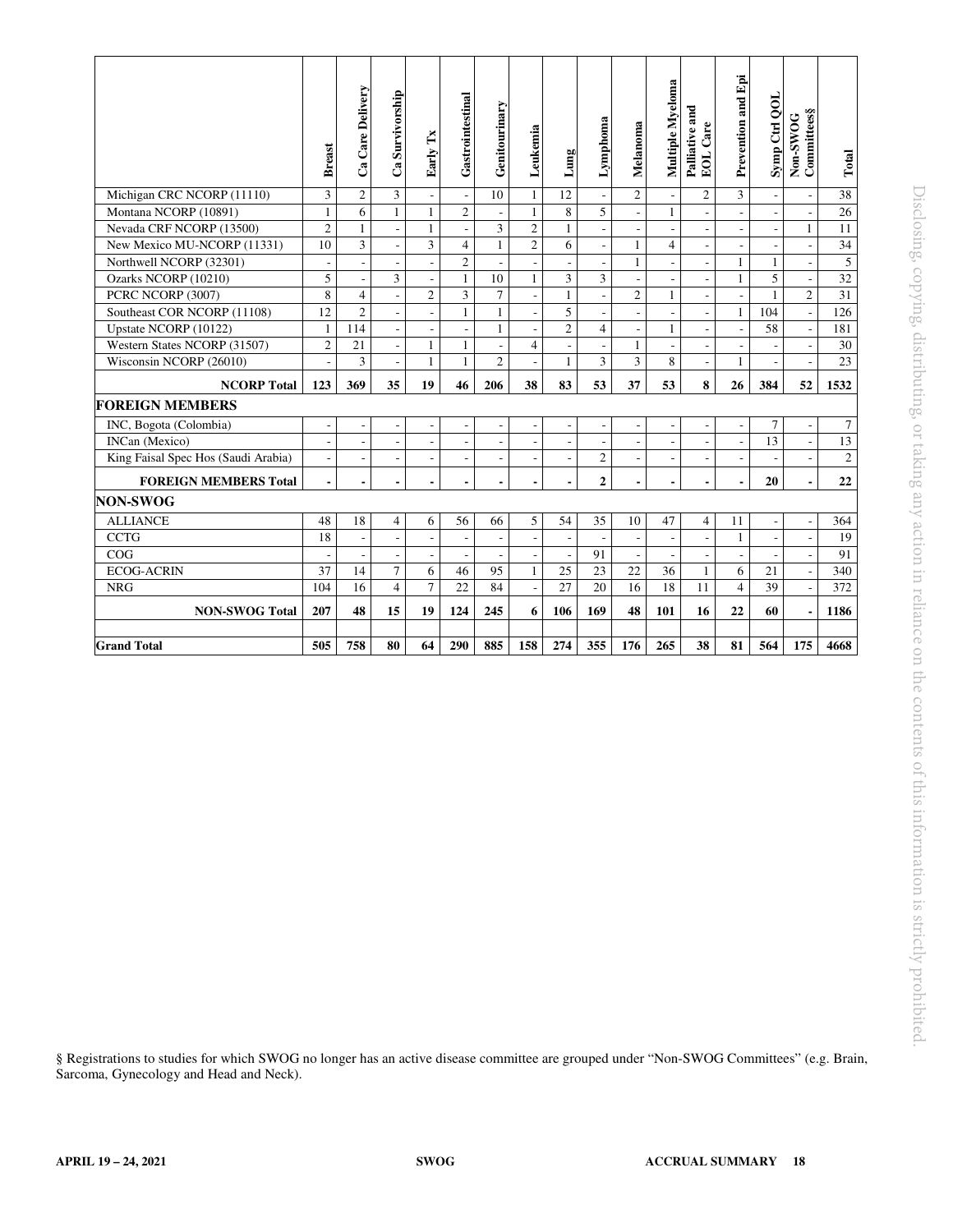|                                                                                                                                        | <b>Breast</b>            | Ca Care Delivery         | Ca Survivorship                                      | Early Tx                 | Gastrointestinal                         | Genitourinary                  | Leukemia                                   | Lung                                       | Lymphoma                                   | Melanoma                                 | Multiple Myeloma          | Palliative and<br>EOL Care     | Prevention and Epi       | Symp Ctrl QOL            | Non-SWOG<br>Committees§                              | Total           |
|----------------------------------------------------------------------------------------------------------------------------------------|--------------------------|--------------------------|------------------------------------------------------|--------------------------|------------------------------------------|--------------------------------|--------------------------------------------|--------------------------------------------|--------------------------------------------|------------------------------------------|---------------------------|--------------------------------|--------------------------|--------------------------|------------------------------------------------------|-----------------|
| Michigan CRC NCORP (11110)                                                                                                             | $\overline{\mathbf{3}}$  | $\sqrt{2}$               | $\mathfrak{Z}$                                       |                          | $\overline{\phantom{a}}$                 | 10                             | $\mathbf{1}$                               | 12                                         |                                            | $\overline{2}$                           | $\overline{\phantom{a}}$  | $\overline{c}$                 | 3                        | $\overline{\phantom{a}}$ | $\overline{\phantom{a}}$                             | $\overline{38}$ |
| Montana NCORP (10891)                                                                                                                  | $\mathbf{1}$             | 6                        | $\mathbf{1}$                                         | $\mathbf{1}$             | $\overline{c}$                           | $\overline{\phantom{a}}$       | $\mathbf{1}$                               | 8                                          | $\overline{5}$                             | $\bar{\phantom{a}}$                      | $\mathbf{1}$              | $\overline{\phantom{a}}$       |                          | $\frac{1}{2}$            | $\overline{\phantom{a}}$                             | $\overline{26}$ |
| Nevada CRF NCORP (13500)                                                                                                               | $\overline{c}$           | $\mathbf{1}$             | $\overline{\phantom{a}}$                             | $\mathbf{1}$             | $\overline{\phantom{a}}$                 | $\overline{3}$                 | $\overline{2}$                             | $\mathbf{1}$                               | $\blacksquare$                             | $\sim$                                   | $\overline{\phantom{a}}$  | $\overline{\phantom{a}}$       | $\overline{\phantom{a}}$ | $\overline{\phantom{a}}$ | $\mathbf{1}$                                         | 11              |
| New Mexico MU-NCORP (11331)                                                                                                            | 10                       | $\mathfrak{Z}$           | $\overline{\phantom{a}}$                             | 3                        | 4                                        | $\mathbf{1}$                   | $\mathbf{2}$                               | 6                                          | $\blacksquare$                             | $\mathbf{1}$                             | $\overline{4}$            | $\overline{\phantom{a}}$       | $\overline{\phantom{a}}$ | $\overline{\phantom{m}}$ | $\overline{\phantom{a}}$                             | $\overline{34}$ |
| Northwell NCORP (32301)                                                                                                                | $\overline{\phantom{a}}$ | $\blacksquare$           |                                                      | $\overline{\phantom{a}}$ | $\overline{2}$                           | $\overline{\phantom{a}}$       | $\overline{\phantom{a}}$                   |                                            | $\overline{\phantom{0}}$                   | $\mathbf{1}$                             | $\overline{\phantom{a}}$  | $\overline{\phantom{a}}$       | $\mathbf{1}$             | $\mathbf{1}$             | $\overline{\phantom{a}}$                             | $\overline{5}$  |
| Ozarks NCORP (10210)                                                                                                                   | 5                        | $\overline{\phantom{a}}$ | 3                                                    | $\overline{\phantom{a}}$ | $\mathbf{1}$                             | 10                             | $\mathbf{1}$                               | 3                                          | 3                                          | $\overline{\phantom{a}}$                 | $\overline{\phantom{a}}$  | $\overline{\phantom{a}}$       | $\mathbf{1}$             | $\overline{5}$           | $\overline{\phantom{a}}$                             | $\overline{32}$ |
| PCRC NCORP (3007)                                                                                                                      | 8                        | $\overline{4}$           | $\mathbf{r}$                                         | $\overline{c}$           | $\mathfrak{Z}$                           | $\tau$                         | $\frac{1}{2}$                              | $\mathbf{1}$                               | $\frac{1}{2}$                              | $\overline{c}$                           | $\mathbf{1}$              | $\overline{a}$                 | L.                       | $\mathbf{1}$             | $\overline{2}$                                       | 31              |
| Southeast COR NCORP (11108)                                                                                                            | 12                       | $\mathfrak{2}$           | $\sim$                                               | $\blacksquare$           | $\mathbf{1}$                             | $\mathbf{1}$                   | $\overline{\phantom{a}}$                   | $\overline{5}$                             | $\blacksquare$                             | $\overline{\phantom{a}}$                 | $\overline{\phantom{a}}$  | $\overline{\phantom{a}}$       | $\mathbf{1}$             | 104                      | $\overline{\phantom{a}}$                             | 126             |
| Upstate NCORP (10122)<br>Western States NCORP (31507)                                                                                  | 1<br>$\sqrt{2}$          | 114<br>21                | $\overline{\phantom{a}}$                             | $\overline{\phantom{a}}$ | $\overline{\phantom{a}}$<br>$\mathbf{1}$ | $\mathbf{1}$<br>$\overline{a}$ | $\overline{\phantom{a}}$<br>$\overline{4}$ | $\overline{2}$<br>$\overline{\phantom{a}}$ | $\overline{4}$                             | $\overline{\phantom{a}}$<br>$\mathbf{1}$ | $\mathbf{1}$<br>$\sim$    | $\overline{\phantom{a}}$       | $\overline{\phantom{a}}$ | 58                       | $\overline{\phantom{a}}$                             | 181<br>$30\,$   |
| Wisconsin NCORP (26010)                                                                                                                |                          | 3                        | $\overline{\phantom{a}}$<br>$\overline{\phantom{a}}$ | 1<br>$\mathbf{1}$        | $\mathbf{1}$                             | 2                              | $\overline{a}$                             | $\mathbf{1}$                               | $\overline{\phantom{a}}$<br>$\overline{3}$ | $\overline{3}$                           | 8                         | $\overline{\phantom{a}}$<br>÷, | $\overline{a}$<br>1      |                          | $\overline{\phantom{a}}$<br>$\overline{\phantom{a}}$ | 23              |
|                                                                                                                                        |                          |                          |                                                      |                          |                                          |                                |                                            |                                            |                                            |                                          |                           |                                |                          |                          |                                                      |                 |
| <b>NCORP Total</b>                                                                                                                     | 123                      | 369                      | 35                                                   | 19                       | 46                                       | 206                            | 38                                         | 83                                         | 53                                         | 37                                       | 53                        | 8                              | 26                       | 384                      | 52                                                   | 1532            |
| <b>FOREIGN MEMBERS</b>                                                                                                                 |                          |                          |                                                      |                          |                                          |                                |                                            |                                            |                                            |                                          |                           |                                |                          |                          |                                                      |                 |
| INC, Bogota (Colombia)                                                                                                                 | $\overline{\phantom{a}}$ | $\overline{\phantom{a}}$ | $\overline{\phantom{a}}$                             | $\overline{\phantom{a}}$ | $\overline{\phantom{a}}$                 |                                | $\overline{\phantom{a}}$                   |                                            | $\overline{\phantom{0}}$                   | $\overline{\phantom{a}}$                 |                           | $\overline{\phantom{a}}$       | $\overline{\phantom{a}}$ | 7                        | $\overline{\phantom{a}}$                             | $\tau$          |
| <b>INCan</b> (Mexico)                                                                                                                  | $\overline{\phantom{a}}$ | $\overline{\phantom{a}}$ | $\overline{\phantom{a}}$                             | $\overline{\phantom{a}}$ | $\overline{\phantom{a}}$                 | $\overline{\phantom{a}}$       | $\overline{\phantom{a}}$                   | $\overline{\phantom{a}}$                   | $\qquad \qquad \blacksquare$               | $\overline{\phantom{a}}$                 | $\overline{\phantom{a}}$  | $\overline{\phantom{a}}$       | $\overline{\phantom{a}}$ | 13                       | $\overline{\phantom{a}}$                             | 13              |
| King Faisal Spec Hos (Saudi Arabia)                                                                                                    | $\overline{\phantom{a}}$ | $\overline{\phantom{a}}$ | $\overline{\phantom{a}}$                             | $\overline{\phantom{a}}$ | $\overline{\phantom{a}}$                 | $\overline{\phantom{a}}$       | $\blacksquare$                             | $\overline{a}$                             | $\overline{c}$                             | $\overline{\phantom{a}}$                 | $\overline{\phantom{a}}$  | $\overline{\phantom{a}}$       | $\overline{\phantom{a}}$ | $\overline{a}$           | $\overline{\phantom{a}}$                             | $\overline{2}$  |
| <b>FOREIGN MEMBERS Total</b>                                                                                                           | $\blacksquare$           | $\blacksquare$           | $\blacksquare$                                       | $\overline{\phantom{a}}$ | $\blacksquare$                           | $\blacksquare$                 | $\overline{\phantom{a}}$                   | $\overline{\phantom{a}}$                   | $\mathbf{2}$                               | $\blacksquare$                           | $\blacksquare$            | $\overline{\phantom{a}}$       | $\overline{\phantom{a}}$ | 20                       | $\blacksquare$                                       | 22              |
| <b>NON-SWOG</b>                                                                                                                        |                          |                          |                                                      |                          |                                          |                                |                                            |                                            |                                            |                                          |                           |                                |                          |                          |                                                      |                 |
| <b>ALLIANCE</b>                                                                                                                        | 48                       | 18                       | 4                                                    | 6                        | 56                                       | 66                             | 5                                          | 54                                         | 35                                         | 10                                       | 47                        | $\overline{4}$                 | 11                       | $\overline{\phantom{a}}$ | $\overline{\phantom{a}}$                             | 364             |
| <b>CCTG</b>                                                                                                                            | 18                       | $\overline{a}$           | $\mathcal{L}$                                        | $\mathbb{Z}^2$           | $\overline{a}$                           | $\omega$                       | $\frac{1}{2}$                              | $\mathbb{Z}^2$                             | $\sim$                                     | $\overline{a}$                           | $\sim$                    | $\overline{\phantom{a}}$       | $\mathbf{1}$             | $\overline{\phantom{a}}$ | $\mathcal{L}$                                        | 19              |
| COG                                                                                                                                    | $\overline{\phantom{a}}$ | $\overline{\phantom{a}}$ | $\overline{\phantom{a}}$                             | $\blacksquare$           | $\overline{\phantom{a}}$                 | $\overline{\phantom{a}}$       | $\overline{\phantom{a}}$                   | $\overline{\phantom{a}}$                   | 91                                         | $\overline{\phantom{a}}$                 | $\overline{\phantom{a}}$  | $\overline{\phantom{a}}$       | $\overline{\phantom{a}}$ | $\overline{\phantom{a}}$ | $\overline{\phantom{a}}$                             | 91              |
| <b>ECOG-ACRIN</b>                                                                                                                      | 37                       | 14                       | $\tau$                                               | 6                        | 46                                       | 95                             | $\mathbf{1}$                               | 25                                         | 23                                         | 22                                       | 36                        | $\mathbf{1}$                   | 6                        | 21                       | $\overline{\phantom{a}}$                             | 340             |
| <b>NRG</b>                                                                                                                             | 104                      | 16                       | $\overline{4}$                                       | $\tau$                   | 22                                       | 84                             | $\frac{1}{2}$                              | 27                                         | 20                                         | 16                                       | 18                        | 11                             | $\overline{4}$           | 39                       | $\overline{a}$                                       | 372             |
| <b>NON-SWOG Total</b>                                                                                                                  | 207                      | 48                       | 15                                                   | 19                       | 124                                      | 245                            | 6                                          | 106                                        | 169                                        | 48                                       | 101                       | 16                             | 22                       | 60                       | $\blacksquare$                                       | 1186            |
| <b>Grand Total</b>                                                                                                                     | 505                      | 758                      | 80                                                   | 64                       | 290                                      | 885                            | 158                                        | 274                                        | 355                                        | 176                                      | 265                       | 38                             | 81                       | 564                      | 175                                                  | 4668            |
| § Registrations to studies for which SWOG no longer has an active disease committee are grouped under "Non-SWOG Committees" (e.g. Brai |                          |                          |                                                      |                          |                                          |                                |                                            |                                            |                                            |                                          |                           |                                |                          |                          |                                                      |                 |
| Sarcoma, Gynecology and Head and Neck).                                                                                                |                          |                          |                                                      |                          |                                          |                                |                                            |                                            |                                            |                                          |                           |                                |                          |                          |                                                      |                 |
| APRIL 19 - 24, 2021                                                                                                                    |                          |                          |                                                      | <b>SWOG</b>              |                                          |                                |                                            |                                            |                                            |                                          | <b>ACCRUAL SUMMARY</b> 18 |                                |                          |                          |                                                      |                 |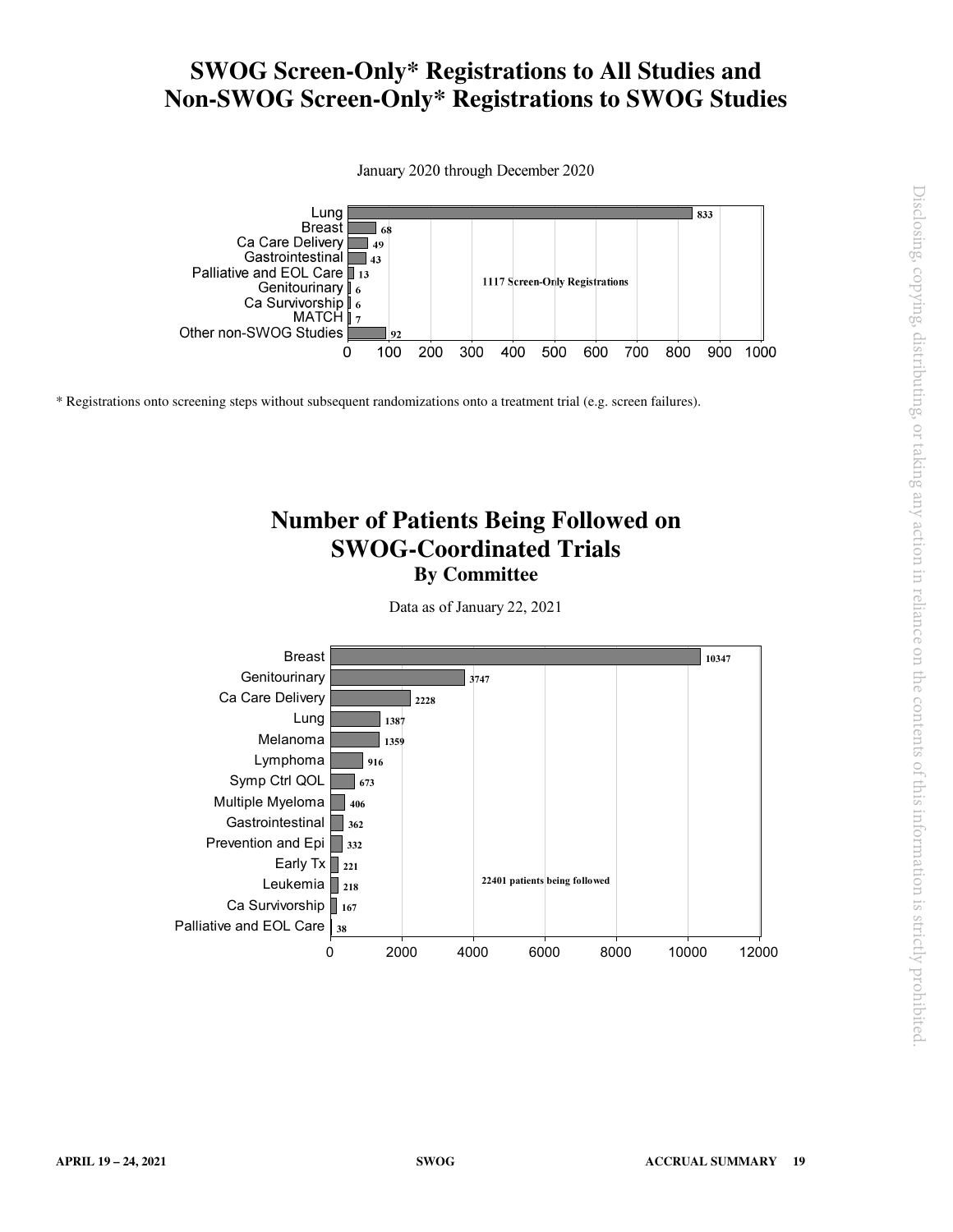### **SWOG Screen-Only\* Registrations to All Studies and Non-SWOG Screen-Only\* Registrations to SWOG Studies**

January 2020 through December 2020



\* Registrations onto screening steps without subsequent randomizations onto a treatment trial (e.g. screen failures).

### **Number of Patients Being Followed on SWOG-Coordinated Trials By Committee**

Data as of January 22, 2021

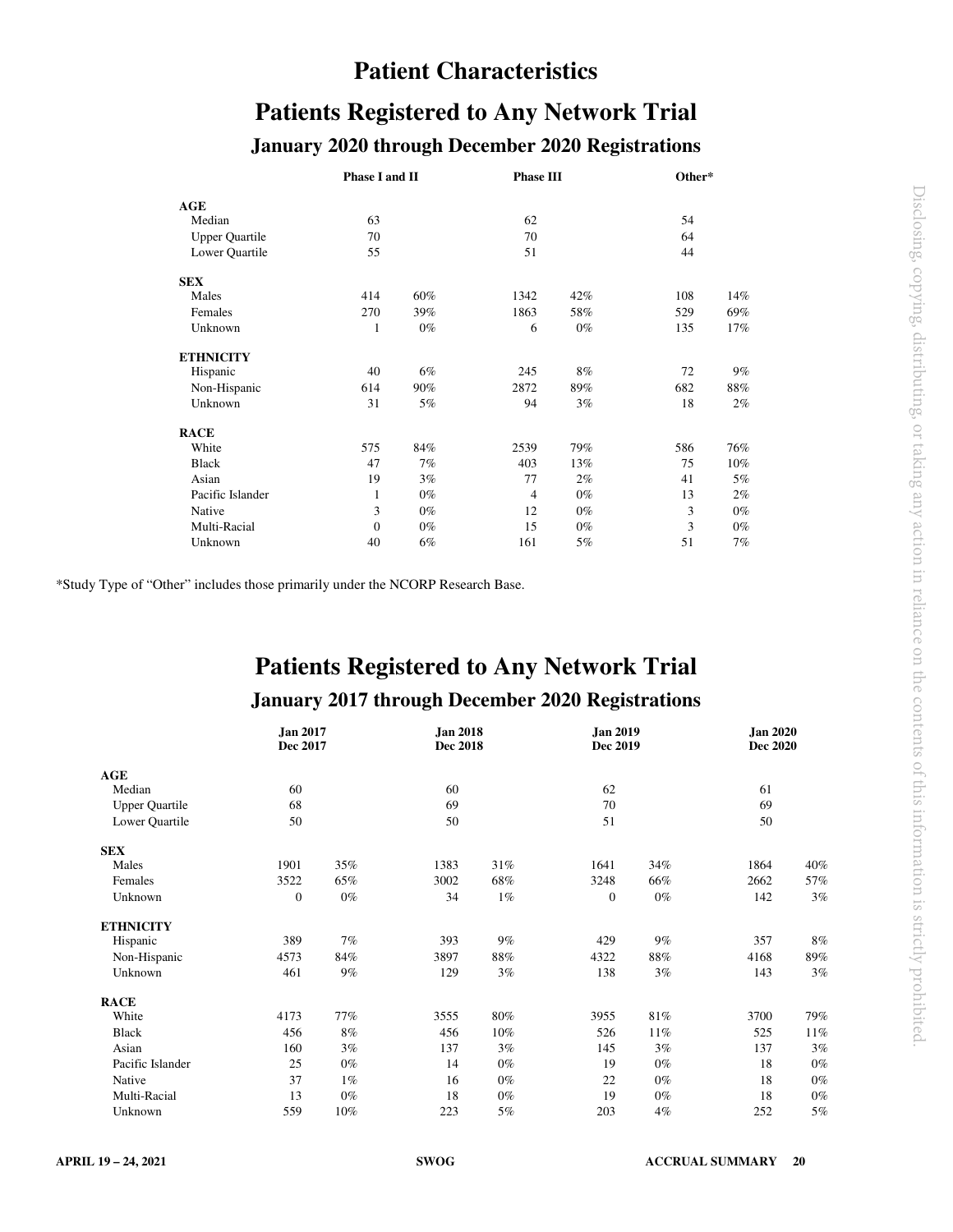### **Patient Characteristics**

# **Patients Registered to Any Network Trial**

#### **January 2020 through December 2020 Registrations**

|                       | Phase I and II |       | <b>Phase III</b> |       | Other* |       |  |
|-----------------------|----------------|-------|------------------|-------|--------|-------|--|
| AGE                   |                |       |                  |       |        |       |  |
| Median                | 63             |       | 62               |       | 54     |       |  |
| <b>Upper Quartile</b> | 70             |       | 70               |       | 64     |       |  |
| Lower Quartile        | 55             |       | 51               |       | 44     |       |  |
| <b>SEX</b>            |                |       |                  |       |        |       |  |
| Males                 | 414            | 60%   | 1342             | 42%   | 108    | 14%   |  |
| Females               | 270            | 39%   | 1863             | 58%   | 529    | 69%   |  |
| Unknown               | 1              | $0\%$ | 6                | $0\%$ | 135    | 17%   |  |
| <b>ETHNICITY</b>      |                |       |                  |       |        |       |  |
| Hispanic              | 40             | 6%    | 245              | 8%    | 72     | 9%    |  |
| Non-Hispanic          | 614            | 90%   | 2872             | 89%   | 682    | 88%   |  |
| Unknown               | 31             | 5%    | 94               | 3%    | 18     | 2%    |  |
| <b>RACE</b>           |                |       |                  |       |        |       |  |
| White                 | 575            | 84%   | 2539             | 79%   | 586    | 76%   |  |
| <b>Black</b>          | 47             | 7%    | 403              | 13%   | 75     | 10%   |  |
| Asian                 | 19             | $3\%$ | 77               | 2%    | 41     | 5%    |  |
| Pacific Islander      | $\mathbf{1}$   | $0\%$ | $\overline{4}$   | $0\%$ | 13     | 2%    |  |
| Native                | 3              | $0\%$ | 12               | $0\%$ | 3      | $0\%$ |  |
| Multi-Racial          | $\mathbf{0}$   | $0\%$ | 15               | $0\%$ | 3      | $0\%$ |  |
| Unknown               | 40             | 6%    | 161              | 5%    | 51     | 7%    |  |

\*Study Type of "Other" includes those primarily under the NCORP Research Base.

# **Patients Registered to Any Network Trial**

#### **January 2017 through December 2020 Registrations**

|                       | <b>Jan 2017</b><br>Dec 2017 |       | <b>Jan 2018</b><br><b>Dec 2018</b> |       | <b>Jan 2019</b><br>Dec 2019 |       | <b>Jan 2020</b><br><b>Dec 2020</b> |       |
|-----------------------|-----------------------------|-------|------------------------------------|-------|-----------------------------|-------|------------------------------------|-------|
| AGE                   |                             |       |                                    |       |                             |       |                                    |       |
| Median                | 60                          |       | 60                                 |       | 62                          |       | 61                                 |       |
| <b>Upper Quartile</b> | 68                          |       | 69                                 |       | 70                          |       | 69                                 |       |
| Lower Quartile        | 50                          |       | 50                                 |       | 51                          |       | 50                                 |       |
| <b>SEX</b>            |                             |       |                                    |       |                             |       |                                    |       |
| Males                 | 1901                        | 35%   | 1383                               | 31%   | 1641                        | 34%   | 1864                               | 40%   |
| Females               | 3522                        | 65%   | 3002                               | 68%   | 3248                        | 66%   | 2662                               | 57%   |
| Unknown               | $\boldsymbol{0}$            | $0\%$ | 34                                 | $1\%$ | $\mathbf{0}$                | $0\%$ | 142                                | 3%    |
| <b>ETHNICITY</b>      |                             |       |                                    |       |                             |       |                                    |       |
| Hispanic              | 389                         | 7%    | 393                                | 9%    | 429                         | 9%    | 357                                | 8%    |
| Non-Hispanic          | 4573                        | 84%   | 3897                               | 88%   | 4322                        | 88%   | 4168                               | 89%   |
| Unknown               | 461                         | 9%    | 129                                | 3%    | 138                         | 3%    | 143                                | 3%    |
| <b>RACE</b>           |                             |       |                                    |       |                             |       |                                    |       |
| White                 | 4173                        | 77%   | 3555                               | 80%   | 3955                        | 81%   | 3700                               | 79%   |
| <b>Black</b>          | 456                         | 8%    | 456                                | 10%   | 526                         | 11%   | 525                                | 11%   |
| Asian                 | 160                         | 3%    | 137                                | 3%    | 145                         | 3%    | 137                                | 3%    |
| Pacific Islander      | 25                          | $0\%$ | 14                                 | $0\%$ | 19                          | $0\%$ | 18                                 | 0%    |
| Native                | 37                          | $1\%$ | 16                                 | $0\%$ | 22                          | $0\%$ | 18                                 | $0\%$ |
| Multi-Racial          | 13                          | $0\%$ | 18                                 | $0\%$ | 19                          | $0\%$ | 18                                 | 0%    |
| Unknown               | 559                         | 10%   | 223                                | 5%    | 203                         | 4%    | 252                                | 5%    |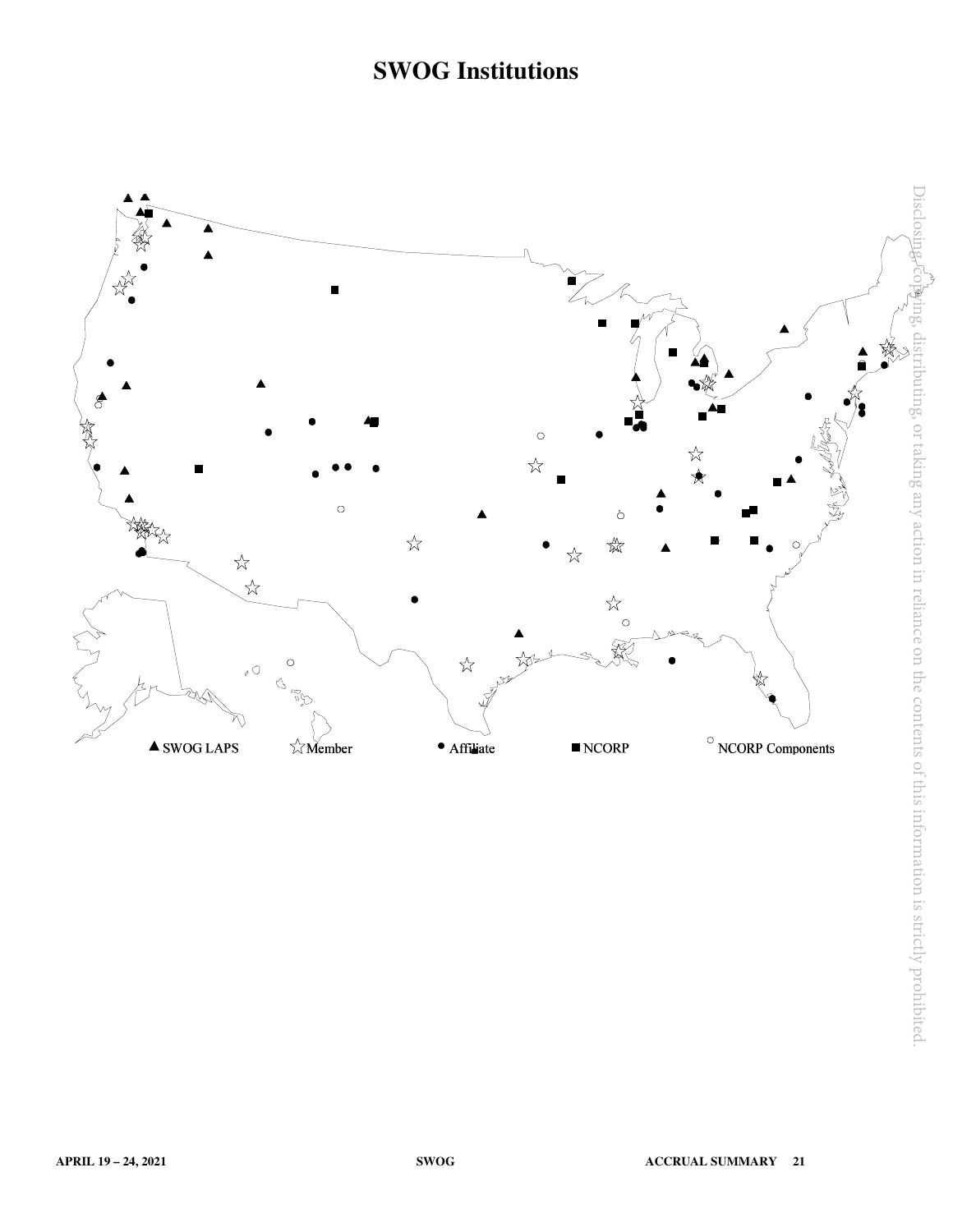